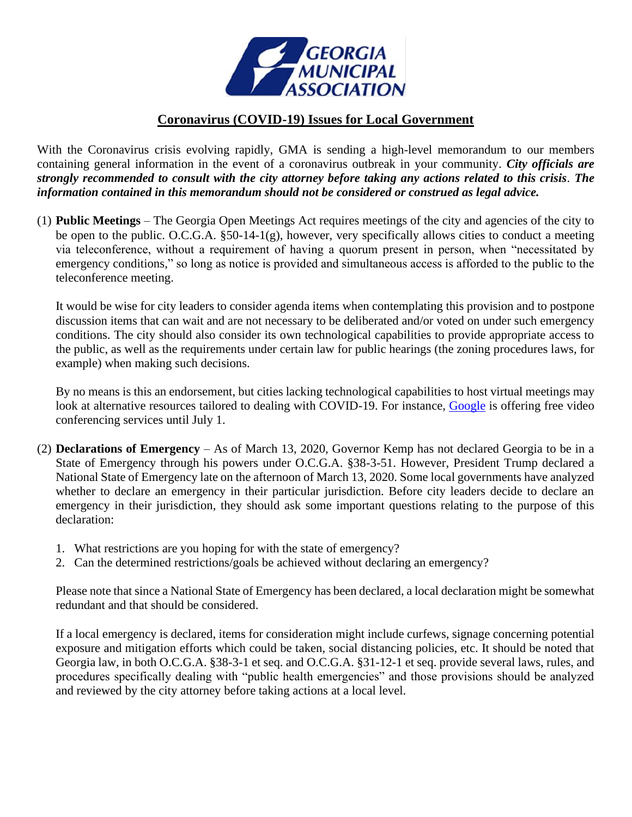

## **Coronavirus (COVID-19) Issues for Local Government**

With the Coronavirus crisis evolving rapidly, GMA is sending a high-level memorandum to our members containing general information in the event of a coronavirus outbreak in your community. *City officials are strongly recommended to consult with the city attorney before taking any actions related to this crisis. The information contained in this memorandum should not be considered or construed as legal advice.*

(1) **Public Meetings** – The Georgia Open Meetings Act requires meetings of the city and agencies of the city to be open to the public. O.C.G.A. §50-14-1(g), however, very specifically allows cities to conduct a meeting via teleconference, without a requirement of having a quorum present in person, when "necessitated by emergency conditions," so long as notice is provided and simultaneous access is afforded to the public to the teleconference meeting.

It would be wise for city leaders to consider agenda items when contemplating this provision and to postpone discussion items that can wait and are not necessary to be deliberated and/or voted on under such emergency conditions. The city should also consider its own technological capabilities to provide appropriate access to the public, as well as the requirements under certain law for public hearings (the zoning procedures laws, for example) when making such decisions.

By no means is this an endorsement, but cities lacking technological capabilities to host virtual meetings may look at alternative resources tailored to dealing with COVID-19. For instance, [Google](https://cloud.google.com/blog/products/g-suite/helping-businesses-and-schools-stay-connected-in-response-to-coronavirus) is offering free video conferencing services until July 1.

- (2) **Declarations of Emergency** As of March 13, 2020, Governor Kemp has not declared Georgia to be in a State of Emergency through his powers under O.C.G.A. §38-3-51. However, President Trump declared a National State of Emergency late on the afternoon of March 13, 2020. Some local governments have analyzed whether to declare an emergency in their particular jurisdiction. Before city leaders decide to declare an emergency in their jurisdiction, they should ask some important questions relating to the purpose of this declaration:
	- 1. What restrictions are you hoping for with the state of emergency?
	- 2. Can the determined restrictions/goals be achieved without declaring an emergency?

Please note that since a National State of Emergency has been declared, a local declaration might be somewhat redundant and that should be considered.

If a local emergency is declared, items for consideration might include curfews, signage concerning potential exposure and mitigation efforts which could be taken, social distancing policies, etc. It should be noted that Georgia law, in both O.C.G.A. §38-3-1 et seq. and O.C.G.A. §31-12-1 et seq. provide several laws, rules, and procedures specifically dealing with "public health emergencies" and those provisions should be analyzed and reviewed by the city attorney before taking actions at a local level.